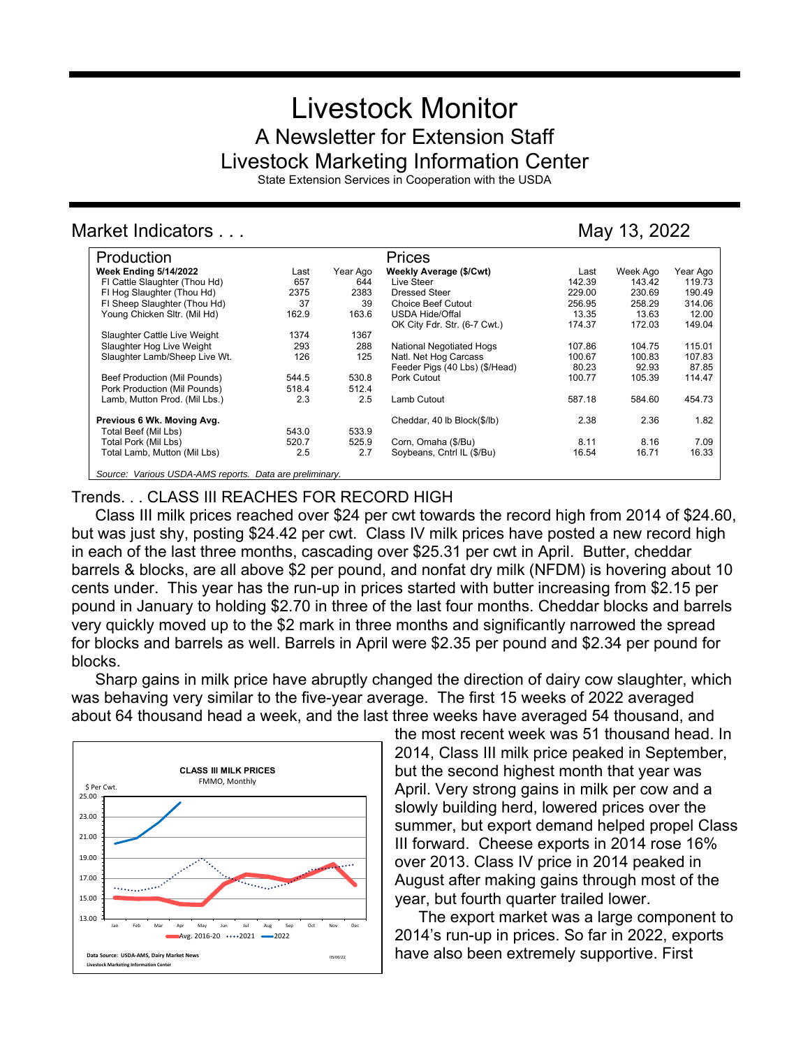# Livestock Monitor A Newsletter for Extension Staff Livestock Marketing Information Center

State Extension Services in Cooperation with the USDA

# Market Indicators . . . May 13, 2022

| Production                                              |       |          | Prices                         |        |          |          |
|---------------------------------------------------------|-------|----------|--------------------------------|--------|----------|----------|
| <b>Week Ending 5/14/2022</b>                            | Last  | Year Ago | Weekly Average (\$/Cwt)        | Last   | Week Ago | Year Ago |
| FI Cattle Slaughter (Thou Hd)                           | 657   | 644      | Live Steer                     | 142.39 | 143.42   | 119.73   |
| FI Hog Slaughter (Thou Hd)                              | 2375  | 2383     | Dressed Steer                  | 229.00 | 230.69   | 190.49   |
| FI Sheep Slaughter (Thou Hd)                            | 37    | 39       | <b>Choice Beef Cutout</b>      | 256.95 | 258.29   | 314.06   |
| Young Chicken Sltr. (Mil Hd)                            | 162.9 | 163.6    | <b>USDA Hide/Offal</b>         | 13.35  | 13.63    | 12.00    |
|                                                         |       |          | OK City Fdr. Str. (6-7 Cwt.)   | 174.37 | 172.03   | 149.04   |
| Slaughter Cattle Live Weight                            | 1374  | 1367     |                                |        |          |          |
| Slaughter Hog Live Weight                               | 293   | 288      | National Negotiated Hogs       | 107.86 | 104.75   | 115.01   |
| Slaughter Lamb/Sheep Live Wt.                           | 126   | 125      | Natl. Net Hog Carcass          | 100.67 | 100.83   | 107.83   |
|                                                         |       |          | Feeder Pigs (40 Lbs) (\$/Head) | 80.23  | 92.93    | 87.85    |
| Beef Production (Mil Pounds)                            | 544.5 | 530.8    | Pork Cutout                    | 100.77 | 105.39   | 114.47   |
| Pork Production (Mil Pounds)                            | 518.4 | 512.4    |                                |        |          |          |
| Lamb, Mutton Prod. (Mil Lbs.)                           | 2.3   | 2.5      | Lamb Cutout                    | 587.18 | 584.60   | 454.73   |
| Previous 6 Wk. Moving Avg.                              |       |          | Cheddar, 40 lb Block(\$/lb)    | 2.38   | 2.36     | 1.82     |
| Total Beef (Mil Lbs)                                    | 543.0 | 533.9    |                                |        |          |          |
| Total Pork (Mil Lbs)                                    | 520.7 | 525.9    | Corn, Omaha (\$/Bu)            | 8.11   | 8.16     | 7.09     |
| Total Lamb, Mutton (Mil Lbs)                            | 2.5   | 2.7      | Soybeans, Cntrl IL (\$/Bu)     | 16.54  | 16.71    | 16.33    |
| Source: Various USDA-AMS reports. Data are preliminary. |       |          |                                |        |          |          |

## Trends. . . CLASS III REACHES FOR RECORD HIGH

Class III milk prices reached over \$24 per cwt towards the record high from 2014 of \$24.60, but was just shy, posting \$24.42 per cwt. Class IV milk prices have posted a new record high in each of the last three months, cascading over \$25.31 per cwt in April. Butter, cheddar barrels & blocks, are all above \$2 per pound, and nonfat dry milk (NFDM) is hovering about 10 cents under. This year has the run-up in prices started with butter increasing from \$2.15 per pound in January to holding \$2.70 in three of the last four months. Cheddar blocks and barrels very quickly moved up to the \$2 mark in three months and significantly narrowed the spread for blocks and barrels as well. Barrels in April were \$2.35 per pound and \$2.34 per pound for blocks.

Sharp gains in milk price have abruptly changed the direction of dairy cow slaughter, which was behaving very similar to the five-year average. The first 15 weeks of 2022 averaged about 64 thousand head a week, and the last three weeks have averaged 54 thousand, and



the most recent week was 51 thousand head. In 2014, Class III milk price peaked in September, but the second highest month that year was April. Very strong gains in milk per cow and a slowly building herd, lowered prices over the summer, but export demand helped propel Class III forward. Cheese exports in 2014 rose 16% over 2013. Class IV price in 2014 peaked in August after making gains through most of the year, but fourth quarter trailed lower.

The export market was a large component to 2014's run-up in prices. So far in 2022, exports have also been extremely supportive. First